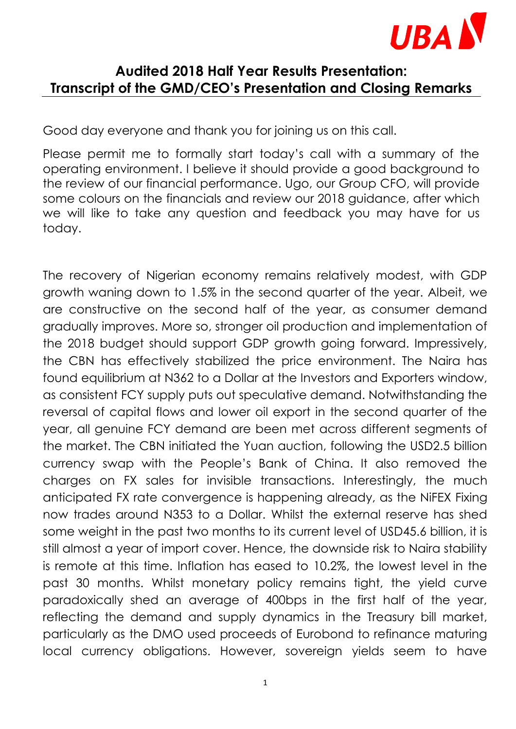

## **Audited 2018 Half Year Results Presentation: Transcript of the GMD/CEO's Presentation and Closing Remarks**

Good day everyone and thank you for joining us on this call.

Please permit me to formally start today's call with a summary of the operating environment. I believe it should provide a good background to the review of our financial performance. Ugo, our Group CFO, will provide some colours on the financials and review our 2018 guidance, after which we will like to take any question and feedback you may have for us today.

The recovery of Nigerian economy remains relatively modest, with GDP growth waning down to 1.5% in the second quarter of the year. Albeit, we are constructive on the second half of the year, as consumer demand gradually improves. More so, stronger oil production and implementation of the 2018 budget should support GDP growth going forward. Impressively, the CBN has effectively stabilized the price environment. The Naira has found equilibrium at N362 to a Dollar at the Investors and Exporters window, as consistent FCY supply puts out speculative demand. Notwithstanding the reversal of capital flows and lower oil export in the second quarter of the year, all genuine FCY demand are been met across different segments of the market. The CBN initiated the Yuan auction, following the USD2.5 billion currency swap with the People's Bank of China. It also removed the charges on FX sales for invisible transactions. Interestingly, the much anticipated FX rate convergence is happening already, as the NiFEX Fixing now trades around N353 to a Dollar. Whilst the external reserve has shed some weight in the past two months to its current level of USD45.6 billion, it is still almost a year of import cover. Hence, the downside risk to Naira stability is remote at this time. Inflation has eased to 10.2%, the lowest level in the past 30 months. Whilst monetary policy remains tight, the yield curve paradoxically shed an average of 400bps in the first half of the year, reflecting the demand and supply dynamics in the Treasury bill market, particularly as the DMO used proceeds of Eurobond to refinance maturing local currency obligations. However, sovereign yields seem to have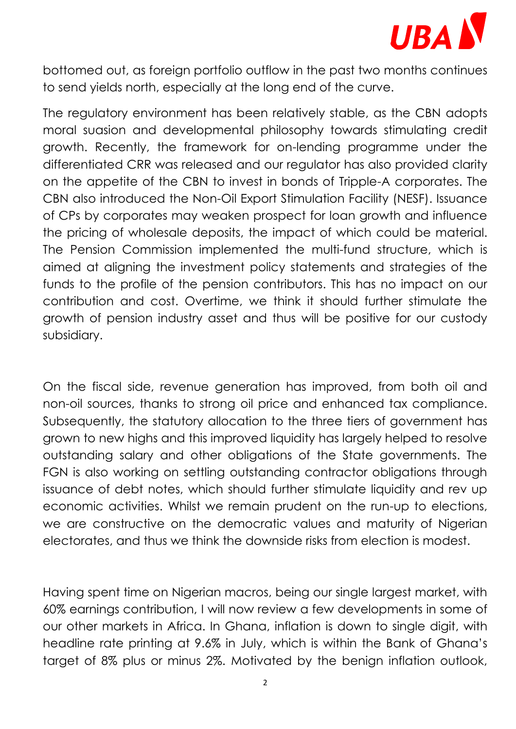

bottomed out, as foreign portfolio outflow in the past two months continues to send yields north, especially at the long end of the curve.

The regulatory environment has been relatively stable, as the CBN adopts moral suasion and developmental philosophy towards stimulating credit growth. Recently, the framework for on-lending programme under the differentiated CRR was released and our regulator has also provided clarity on the appetite of the CBN to invest in bonds of Tripple-A corporates. The CBN also introduced the Non-Oil Export Stimulation Facility (NESF). Issuance of CPs by corporates may weaken prospect for loan growth and influence the pricing of wholesale deposits, the impact of which could be material. The Pension Commission implemented the multi-fund structure, which is aimed at aligning the investment policy statements and strategies of the funds to the profile of the pension contributors. This has no impact on our contribution and cost. Overtime, we think it should further stimulate the growth of pension industry asset and thus will be positive for our custody subsidiary.

On the fiscal side, revenue generation has improved, from both oil and non-oil sources, thanks to strong oil price and enhanced tax compliance. Subsequently, the statutory allocation to the three tiers of government has grown to new highs and this improved liquidity has largely helped to resolve outstanding salary and other obligations of the State governments. The FGN is also working on settling outstanding contractor obligations through issuance of debt notes, which should further stimulate liquidity and rev up economic activities. Whilst we remain prudent on the run-up to elections, we are constructive on the democratic values and maturity of Nigerian electorates, and thus we think the downside risks from election is modest.

Having spent time on Nigerian macros, being our single largest market, with 60% earnings contribution, I will now review a few developments in some of our other markets in Africa. In Ghana, inflation is down to single digit, with headline rate printing at 9.6% in July, which is within the Bank of Ghana's target of 8% plus or minus 2%. Motivated by the benign inflation outlook,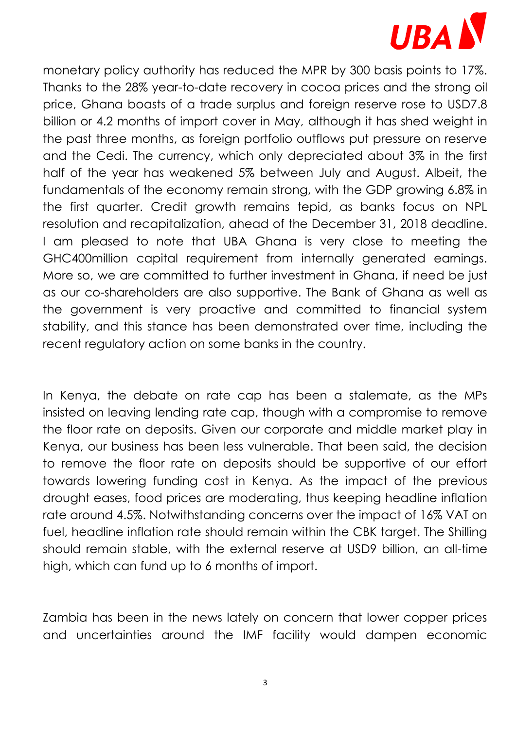

monetary policy authority has reduced the MPR by 300 basis points to 17%. Thanks to the 28% year-to-date recovery in cocoa prices and the strong oil price, Ghana boasts of a trade surplus and foreign reserve rose to USD7.8 billion or 4.2 months of import cover in May, although it has shed weight in the past three months, as foreign portfolio outflows put pressure on reserve and the Cedi. The currency, which only depreciated about 3% in the first half of the year has weakened 5% between July and August. Albeit, the fundamentals of the economy remain strong, with the GDP growing 6.8% in the first quarter. Credit growth remains tepid, as banks focus on NPL resolution and recapitalization, ahead of the December 31, 2018 deadline. I am pleased to note that UBA Ghana is very close to meeting the GHC400million capital requirement from internally generated earnings. More so, we are committed to further investment in Ghana, if need be just as our co-shareholders are also supportive. The Bank of Ghana as well as the government is very proactive and committed to financial system stability, and this stance has been demonstrated over time, including the recent regulatory action on some banks in the country.

In Kenya, the debate on rate cap has been a stalemate, as the MPs insisted on leaving lending rate cap, though with a compromise to remove the floor rate on deposits. Given our corporate and middle market play in Kenya, our business has been less vulnerable. That been said, the decision to remove the floor rate on deposits should be supportive of our effort towards lowering funding cost in Kenya. As the impact of the previous drought eases, food prices are moderating, thus keeping headline inflation rate around 4.5%. Notwithstanding concerns over the impact of 16% VAT on fuel, headline inflation rate should remain within the CBK target. The Shilling should remain stable, with the external reserve at USD9 billion, an all-time high, which can fund up to 6 months of import.

Zambia has been in the news lately on concern that lower copper prices and uncertainties around the IMF facility would dampen economic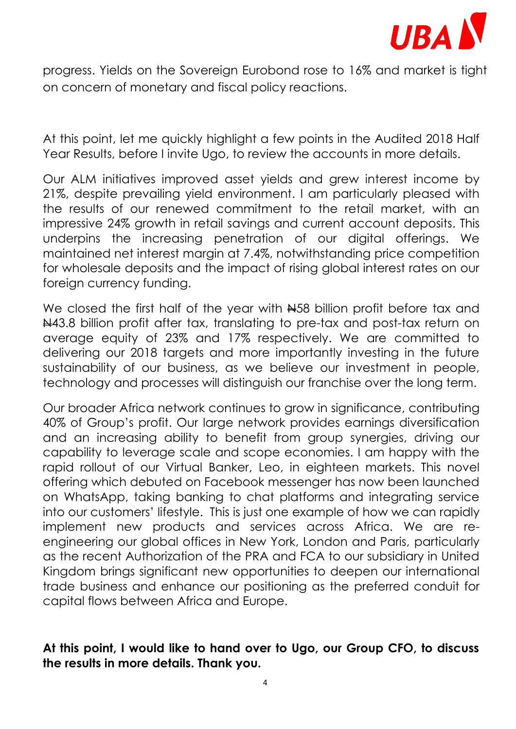

progress. Yields on the Sovereign Eurobond rose to 16% and market is tight on concern of monetary and fiscal policy reactions.

At this point, let me quickly highlight a few points in the Audited 2018 Half Year Results, before I invite Ugo, to review the accounts in more details.

Our ALM initiatives improved asset yields and grew interest income by 21%, despite prevailing yield environment. I am particularly pleased with the results of our renewed commitment to the retail market, with an impressive 24% growth in retail savings and current account deposits. This underpins the increasing penetration of our digital offerings. We maintained net interest margin at 7.4%, notwithstanding price competition for wholesale deposits and the impact of rising global interest rates on our foreign currency funding.

We closed the first half of the year with  $#58$  billion profit before tax and N43.8 billion profit after tax, translating to pre-tax and post-tax return on average equity of 23% and 17% respectively. We are committed to delivering our 2018 targets and more importantly investing in the future sustainability of our business, as we believe our investment in people, technology and processes will distinguish our franchise over the long term.

Our broader Africa network continues to grow in significance, contributing 40% of Group's profit. Our large network provides earnings diversification and an increasing ability to benefit from group synergies, driving our capability to leverage scale and scope economies. I am happy with the rapid rollout of our Virtual Banker, Leo, in eighteen markets. This novel offering which debuted on Facebook messenger has now been launched on WhatsApp, taking banking to chat platforms and integrating service into our customers' lifestyle. This is just one example of how we can rapidly implement new products and services across Africa. We are reengineering our global offices in New York, London and Paris, particularly as the recent Authorization of the PRA and FCA to our subsidiary in United Kingdom brings significant new opportunities to deepen our international trade business and enhance our positioning as the preferred conduit for capital flows between Africa and Europe.

## **At this point, I would like to hand over to Ugo, our Group CFO, to discuss the results in more details. Thank you.**